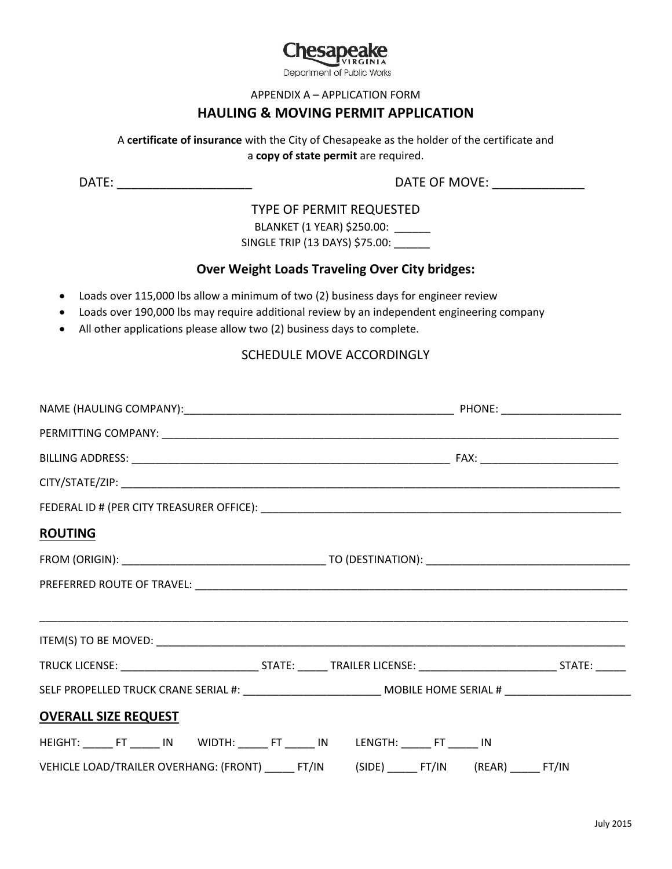

Department of Public Works

APPENDIX A – APPLICATION FORM

### **HAULING & MOVING PERMIT APPLICATION**

A **certificate of insurance** with the City of Chesapeake as the holder of the certificate and a **copy of state permit** are required.

DATE: \_\_\_\_\_\_\_\_\_\_\_\_\_\_\_\_\_\_\_ DATE OF MOVE: \_\_\_\_\_\_\_\_\_\_\_\_\_

TYPE OF PERMIT REQUESTED

BLANKET (1 YEAR) \$250.00: \_\_\_\_\_\_

SINGLE TRIP (13 DAYS) \$75.00: \_\_\_\_\_\_

# **Over Weight Loads Traveling Over City bridges:**

- Loads over 115,000 lbs allow a minimum of two (2) business days for engineer review
- Loads over 190,000 lbs may require additional review by an independent engineering company
- All other applications please allow two (2) business days to complete.

## SCHEDULE MOVE ACCORDINGLY

| <b>ROUTING</b>                                                                            |  |
|-------------------------------------------------------------------------------------------|--|
|                                                                                           |  |
|                                                                                           |  |
|                                                                                           |  |
|                                                                                           |  |
|                                                                                           |  |
|                                                                                           |  |
| <b>OVERALL SIZE REQUEST</b>                                                               |  |
| HEIGHT: ______FT ______ IN WIDTH: ______ FT ______ IN LENGTH: ______ FT ______ IN         |  |
| VEHICLE LOAD/TRAILER OVERHANG: (FRONT) ______ FT/IN (SIDE) _____ FT/IN (REAR) _____ FT/IN |  |